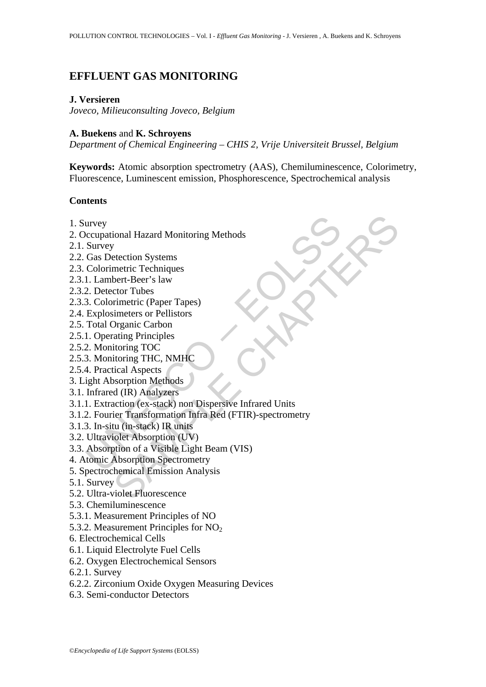# **EFFLUENT GAS MONITORING**

## **J. Versieren**

*Joveco, Milieuconsulting Joveco, Belgium* 

## **A. Buekens** and **K. Schroyens**

*Department of Chemical Engineering – CHIS 2, Vrije Universiteit Brussel, Belgium* 

**Keywords:** Atomic absorption spectrometry (AAS), Chemiluminescence, Colorimetry, Fluorescence, Luminescent emission, Phosphorescence, Spectrochemical analysis

## **Contents**

- 1. Survey
- 2. Occupational Hazard Monitoring Methods
- 2.1. Survey
- 2.2. Gas Detection Systems
- 2.3. Colorimetric Techniques
- 2.3.1. Lambert-Beer's law
- 2.3.2. Detector Tubes
- 2.3.3. Colorimetric (Paper Tapes)
- 2.4. Explosimeters or Pellistors
- 2.5. Total Organic Carbon
- 2.5.1. Operating Principles
- 2.5.2. Monitoring TOC
- 2.5.3. Monitoring THC, NMHC
- 2.5.4. Practical Aspects
- 3. Light Absorption Methods
- 3.1. Infrared (IR) Analyzers
- 3.1.1. Extraction (ex-stack) non Dispersive Infrared Units
- urvey<br>
occupational Hazard Monitoring Methods<br>
Survey<br>
Gas Detection Systems<br>
Colorimetric Techniques<br>
1. Lambert-Beer's law<br>
2. Detector Tubes<br>
3. Colorimetric (Paper Tapes)<br>
Explosimeters or Pellistors<br>
Total Organic Car ional Hazard Monitoring Methods<br>
recettion Systems<br>
etection Systems<br>
metric Techniques<br>
hert-Beer's law<br>
circure Theose<br>
immeters or Pellistors<br>
immeters or Pellistors<br>
Dreamic Carbon<br>
intering TOC<br>
itoring TOC<br>
itoring T 3.1.2. Fourier Transformation Infra Red (FTIR)-spectrometry
- 3.1.3. In-situ (in-stack) IR units
- 3.2. Ultraviolet Absorption (UV)
- 3.3. Absorption of a Visible Light Beam (VIS)
- 4. Atomic Absorption Spectrometry
- 5. Spectrochemical Emission Analysis
- 5.1. Survey
- 5.2. Ultra-violet Fluorescence
- 5.3. Chemiluminescence
- 5.3.1. Measurement Principles of NO
- 5.3.2. Measurement Principles for  $NO<sub>2</sub>$
- 6. Electrochemical Cells
- 6.1. Liquid Electrolyte Fuel Cells
- 6.2. Oxygen Electrochemical Sensors
- 6.2.1. Survey
- 6.2.2. Zirconium Oxide Oxygen Measuring Devices
- 6.3. Semi-conductor Detectors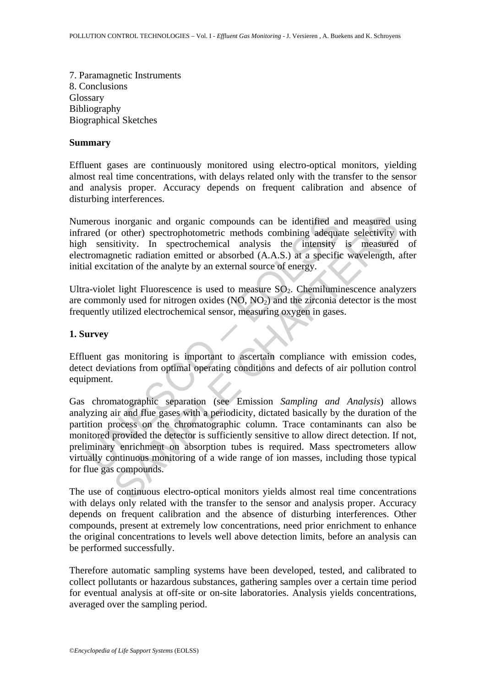7. Paramagnetic Instruments 8. Conclusions Glossary Bibliography Biographical Sketches

#### **Summary**

Effluent gases are continuously monitored using electro-optical monitors, yielding almost real time concentrations, with delays related only with the transfer to the sensor and analysis proper. Accuracy depends on frequent calibration and absence of disturbing interferences.

Numerous inorganic and organic compounds can be identified and measured using infrared (or other) spectrophotometric methods combining adequate selectivity with high sensitivity. In spectrochemical analysis the intensity is measured of electromagnetic radiation emitted or absorbed (A.A.S.) at a specific wavelength, after initial excitation of the analyte by an external source of energy.

Ultra-violet light Fluorescence is used to measure  $SO_2$ . Chemiluminescence analyzers are commonly used for nitrogen oxides  $(NO, NO<sub>2</sub>)$  and the zirconia detector is the most frequently utilized electrochemical sensor, measuring oxygen in gases.

## **1. Survey**

Effluent gas monitoring is important to ascertain compliance with emission codes, detect deviations from optimal operating conditions and defects of air pollution control equipment.

merous inorganic and organic compounds can be identified an<br>
ared (or other) spectrophotometric methods combining adequa<br>
1 sensitivity. In spectrochemical analysis the intensity<br>
tromagnetic radiation emitted or absorbed inorganic and organic compounds can be identified and measured u<br>
intruity. In spectrophotometric methods combining adequate selectivity<br>
intruity. In spectrochemical analysis the intensity is measured<br>
interic radiation Gas chromatographic separation (see Emission *Sampling and Analysis*) allows analyzing air and flue gases with a periodicity, dictated basically by the duration of the partition process on the chromatographic column. Trace contaminants can also be monitored provided the detector is sufficiently sensitive to allow direct detection. If not, preliminary enrichment on absorption tubes is required. Mass spectrometers allow virtually continuous monitoring of a wide range of ion masses, including those typical for flue gas compounds.

The use of continuous electro-optical monitors yields almost real time concentrations with delays only related with the transfer to the sensor and analysis proper. Accuracy depends on frequent calibration and the absence of disturbing interferences. Other compounds, present at extremely low concentrations, need prior enrichment to enhance the original concentrations to levels well above detection limits, before an analysis can be performed successfully.

Therefore automatic sampling systems have been developed, tested, and calibrated to collect pollutants or hazardous substances, gathering samples over a certain time period for eventual analysis at off-site or on-site laboratories. Analysis yields concentrations, averaged over the sampling period.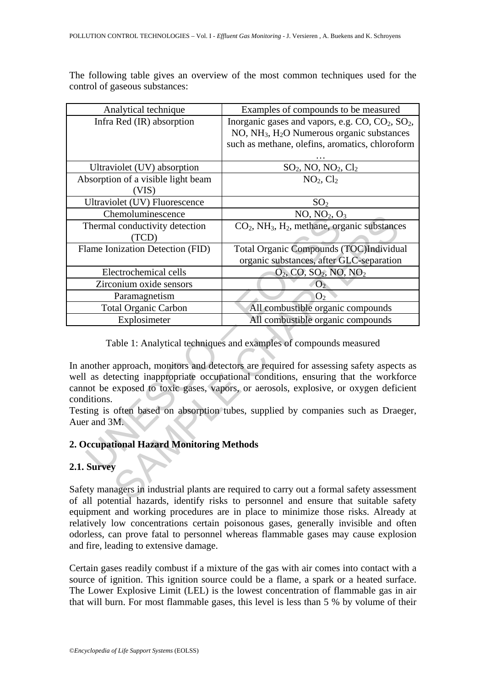The following table gives an overview of the most common techniques used for the control of gaseous substances:

| Analytical technique                                                                                                                                                                                                                                                                                                                                          | Examples of compounds to be measured                                                |
|---------------------------------------------------------------------------------------------------------------------------------------------------------------------------------------------------------------------------------------------------------------------------------------------------------------------------------------------------------------|-------------------------------------------------------------------------------------|
| Infra Red (IR) absorption                                                                                                                                                                                                                                                                                                                                     | Inorganic gases and vapors, e.g. $CO$ , $CO2$ , $SO2$ ,                             |
|                                                                                                                                                                                                                                                                                                                                                               | NO, NH <sub>3</sub> , H <sub>2</sub> O Numerous organic substances                  |
|                                                                                                                                                                                                                                                                                                                                                               | such as methane, olefins, aromatics, chloroform                                     |
|                                                                                                                                                                                                                                                                                                                                                               |                                                                                     |
| Ultraviolet (UV) absorption                                                                                                                                                                                                                                                                                                                                   | $\frac{\text{SO}_2, \text{NO}, \text{NO}_2, \text{Cl}_2}{\text{NO}_2, \text{Cl}_2}$ |
| Absorption of a visible light beam                                                                                                                                                                                                                                                                                                                            |                                                                                     |
| (VIS)                                                                                                                                                                                                                                                                                                                                                         |                                                                                     |
| Ultraviolet (UV) Fluorescence                                                                                                                                                                                                                                                                                                                                 | SO <sub>2</sub>                                                                     |
| Chemoluminescence                                                                                                                                                                                                                                                                                                                                             | NO, NO <sub>2</sub> , O <sub>3</sub>                                                |
| Thermal conductivity detection                                                                                                                                                                                                                                                                                                                                | $CO2$ , NH <sub>3</sub> , H <sub>2</sub> , methane, organic substances              |
| (TCD)                                                                                                                                                                                                                                                                                                                                                         |                                                                                     |
| Flame Ionization Detection (FID)                                                                                                                                                                                                                                                                                                                              | Total Organic Compounds (TOC)Individual                                             |
|                                                                                                                                                                                                                                                                                                                                                               | organic substances, after GLC-separation                                            |
| Electrochemical cells                                                                                                                                                                                                                                                                                                                                         | $O_2$ , CO, SO <sub>2</sub> , NO, NO <sub>2</sub>                                   |
| Zirconium oxide sensors                                                                                                                                                                                                                                                                                                                                       | O <sub>2</sub>                                                                      |
| Paramagnetism                                                                                                                                                                                                                                                                                                                                                 | O <sub>2</sub>                                                                      |
| <b>Total Organic Carbon</b>                                                                                                                                                                                                                                                                                                                                   | All combustible organic compounds                                                   |
| Explosimeter                                                                                                                                                                                                                                                                                                                                                  | All combustible organic compounds                                                   |
| Table 1: Analytical techniques and examples of compounds measured<br>In another approach, monitors and detectors are required for assessing safety aspects as<br>well as detecting inappropriate occupational conditions, ensuring that the workforce<br>cannot be exposed to toxic gases, vapors, or aerosols, explosive, or oxygen deficient<br>conditions. |                                                                                     |
| Testing is often based on absorption tubes, supplied by companies such as Draeger,<br>Auer and 3M.                                                                                                                                                                                                                                                            |                                                                                     |
| 2. Occupational Hazard Monitoring Methods                                                                                                                                                                                                                                                                                                                     |                                                                                     |
| 2.1. Survey                                                                                                                                                                                                                                                                                                                                                   |                                                                                     |
| Safety managers in industrial plants are required to carry out a formal safety assessment<br>of all potential hazarde, identify ricks to personnal and ensure that suitable safety                                                                                                                                                                            |                                                                                     |

## **2. Occupational Hazard Monitoring Methods**

## **2.1. Survey**

Safety managers in industrial plants are required to carry out a formal safety assessment of all potential hazards, identify risks to personnel and ensure that suitable safety equipment and working procedures are in place to minimize those risks. Already at relatively low concentrations certain poisonous gases, generally invisible and often odorless, can prove fatal to personnel whereas flammable gases may cause explosion and fire, leading to extensive damage.

Certain gases readily combust if a mixture of the gas with air comes into contact with a source of ignition. This ignition source could be a flame, a spark or a heated surface. The Lower Explosive Limit (LEL) is the lowest concentration of flammable gas in air that will burn. For most flammable gases, this level is less than 5 % by volume of their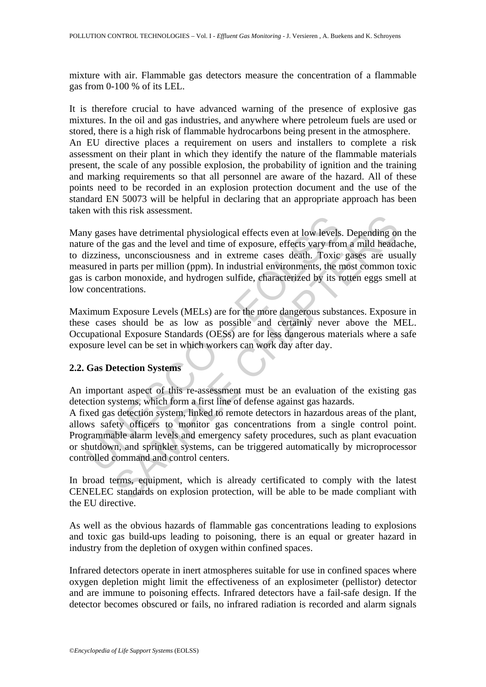mixture with air. Flammable gas detectors measure the concentration of a flammable gas from 0-100 % of its LEL.

It is therefore crucial to have advanced warning of the presence of explosive gas mixtures. In the oil and gas industries, and anywhere where petroleum fuels are used or stored, there is a high risk of flammable hydrocarbons being present in the atmosphere. An EU directive places a requirement on users and installers to complete a risk assessment on their plant in which they identify the nature of the flammable materials present, the scale of any possible explosion, the probability of ignition and the training and marking requirements so that all personnel are aware of the hazard. All of these points need to be recorded in an explosion protection document and the use of the standard EN 50073 will be helpful in declaring that an appropriate approach has been taken with this risk assessment.

by gases have detrimental physiological effects even at low levels<br>tizziness, unconsciousness and in extrape casses death. Toxic<br>sizziness, suconsciousness and in extreme casses death. Toxic<br>surred in parts per million (pp also detrimental physiological effects even at low levels. Depending on<br>the gas and the level and time of exposure, effects vary from a mild head<br>ass, unconsciousness and in extreme cases death. Toxic gases are ust<br>n parts Many gases have detrimental physiological effects even at low levels. Depending on the nature of the gas and the level and time of exposure, effects vary from a mild headache, to dizziness, unconsciousness and in extreme cases death. Toxic gases are usually measured in parts per million (ppm). In industrial environments, the most common toxic gas is carbon monoxide, and hydrogen sulfide, characterized by its rotten eggs smell at low concentrations.

Maximum Exposure Levels (MELs) are for the more dangerous substances. Exposure in these cases should be as low as possible and certainly never above the MEL. Occupational Exposure Standards (OESs) are for less dangerous materials where a safe exposure level can be set in which workers can work day after day.

## **2.2. Gas Detection Systems**

An important aspect of this re-assessment must be an evaluation of the existing gas detection systems, which form a first line of defense against gas hazards.

A fixed gas detection system, linked to remote detectors in hazardous areas of the plant, allows safety officers to monitor gas concentrations from a single control point. Programmable alarm levels and emergency safety procedures, such as plant evacuation or shutdown, and sprinkler systems, can be triggered automatically by microprocessor controlled command and control centers.

In broad terms, equipment, which is already certificated to comply with the latest CENELEC standards on explosion protection, will be able to be made compliant with the EU directive.

As well as the obvious hazards of flammable gas concentrations leading to explosions and toxic gas build-ups leading to poisoning, there is an equal or greater hazard in industry from the depletion of oxygen within confined spaces.

Infrared detectors operate in inert atmospheres suitable for use in confined spaces where oxygen depletion might limit the effectiveness of an explosimeter (pellistor) detector and are immune to poisoning effects. Infrared detectors have a fail-safe design. If the detector becomes obscured or fails, no infrared radiation is recorded and alarm signals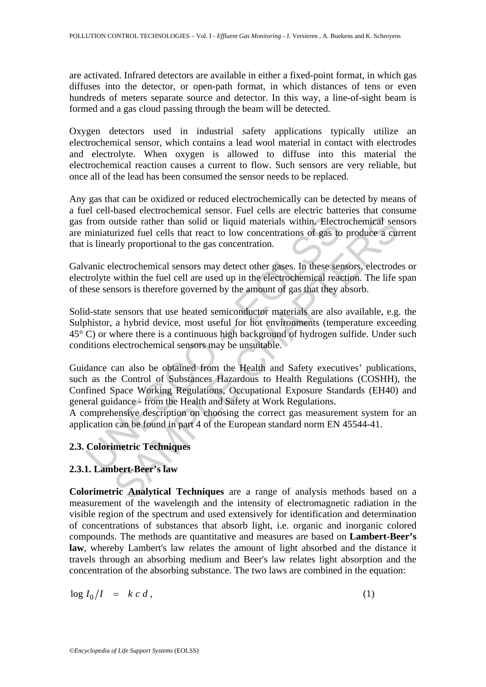are activated. Infrared detectors are available in either a fixed-point format, in which gas diffuses into the detector, or open-path format, in which distances of tens or even hundreds of meters separate source and detector. In this way, a line-of-sight beam is formed and a gas cloud passing through the beam will be detected.

Oxygen detectors used in industrial safety applications typically utilize an electrochemical sensor, which contains a lead wool material in contact with electrodes and electrolyte. When oxygen is allowed to diffuse into this material the electrochemical reaction causes a current to flow. Such sensors are very reliable, but once all of the lead has been consumed the sensor needs to be replaced.

Any gas that can be oxidized or reduced electrochemically can be detected by means of a fuel cell-based electrochemical sensor. Fuel cells are electric batteries that consume gas from outside rather than solid or liquid materials within. Electrochemical sensors are miniaturized fuel cells that react to low concentrations of gas to produce a current that is linearly proportional to the gas concentration.

Galvanic electrochemical sensors may detect other gases. In these sensors, electrodes or electrolyte within the fuel cell are used up in the electrochemical reaction. The life span of these sensors is therefore governed by the amount of gas that they absorb.

from outside rather than solid or liquid materials within. Elect<br>miniaturized fuel cells that react to low concentrations of gas to<br>is linearly proportional to the gas concentration.<br>vanic electrochemical sensors may detec utiside rather than solid or liquid materials within. Electrochemical sentinged fuel cells that react to low concentrations of gas to produce a currized fuel cells that react to low concentrations of gas to produce a curri Solid-state sensors that use heated semiconductor materials are also available, e.g. the Sulphistor, a hybrid device, most useful for hot environments (temperature exceeding 45° C) or where there is a continuous high background of hydrogen sulfide. Under such conditions electrochemical sensors may be unsuitable.

Guidance can also be obtained from the Health and Safety executives' publications, such as the Control of Substances Hazardous to Health Regulations (COSHH), the Confined Space Working Regulations, Occupational Exposure Standards (EH40) and general guidance - from the Health and Safety at Work Regulations.

A comprehensive description on choosing the correct gas measurement system for an application can be found in part 4 of the European standard norm EN 45544-41.

## **2.3. Colorimetric Techniques**

## **2.3.1. Lambert-Beer's law**

**Colorimetric Analytical Techniques** are a range of analysis methods based on a measurement of the wavelength and the intensity of electromagnetic radiation in the visible region of the spectrum and used extensively for identification and determination of concentrations of substances that absorb light, i.e. organic and inorganic colored compounds. The methods are quantitative and measures are based on **Lambert-Beer's law**, whereby Lambert's law relates the amount of light absorbed and the distance it travels through an absorbing medium and Beer's law relates light absorption and the concentration of the absorbing substance. The two laws are combined in the equation:

$$
\log I_0/I = k c d, \qquad (1)
$$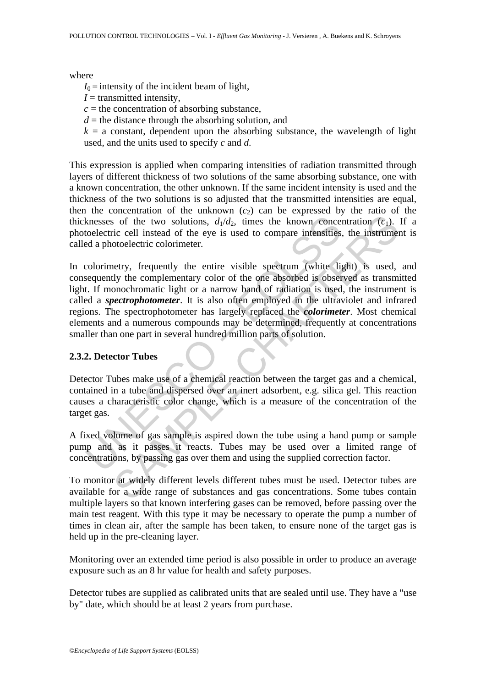where

 $I_0$  = intensity of the incident beam of light,

 $I =$  transmitted intensity,

 $c =$  the concentration of absorbing substance,

 $d =$  the distance through the absorbing solution, and

 $k = a$  constant, dependent upon the absorbing substance, the wavelength of light used, and the units used to specify *c* and *d*.

This expression is applied when comparing intensities of radiation transmitted through layers of different thickness of two solutions of the same absorbing substance, one with a known concentration, the other unknown. If the same incident intensity is used and the thickness of the two solutions is so adjusted that the transmitted intensities are equal, then the concentration of the unknown  $(c_2)$  can be expressed by the ratio of the thicknesses of the two solutions,  $d_1/d_2$ , times the known concentration (*c*<sub>1</sub>). If a photoelectric cell instead of the eye is used to compare intensities, the instrument is called a photoelectric colorimeter.

knesses of the two solutions,  $d_1/d_2$ , times the known concertioelectric cell instead of the eye is used to compare intensities.<br>Examplemently, frequently the entire visible spectrum (white lighter equently the complemen is of the two solutions,  $d_1/d_2$ , times the known concentration (c<sub>1</sub>).<br>
The cell instead of the eye is used to compare intensities, the instrument of the eye is used to compare intensities, the instrument of the expecte In colorimetry, frequently the entire visible spectrum (white light) is used, and consequently the complementary color of the one absorbed is observed as transmitted light. If monochromatic light or a narrow band of radiation is used, the instrument is called a *spectrophotometer*. It is also often employed in the ultraviolet and infrared regions. The spectrophotometer has largely replaced the *colorimeter*. Most chemical elements and a numerous compounds may be determined, frequently at concentrations smaller than one part in several hundred million parts of solution.

#### **2.3.2. Detector Tubes**

Detector Tubes make use of a chemical reaction between the target gas and a chemical, contained in a tube and dispersed over an inert adsorbent, e.g. silica gel. This reaction causes a characteristic color change, which is a measure of the concentration of the target gas.

A fixed volume of gas sample is aspired down the tube using a hand pump or sample pump and as it passes it reacts. Tubes may be used over a limited range of concentrations, by passing gas over them and using the supplied correction factor.

To monitor at widely different levels different tubes must be used. Detector tubes are available for a wide range of substances and gas concentrations. Some tubes contain multiple layers so that known interfering gases can be removed, before passing over the main test reagent. With this type it may be necessary to operate the pump a number of times in clean air, after the sample has been taken, to ensure none of the target gas is held up in the pre-cleaning layer.

Monitoring over an extended time period is also possible in order to produce an average exposure such as an 8 hr value for health and safety purposes.

Detector tubes are supplied as calibrated units that are sealed until use. They have a "use by" date, which should be at least 2 years from purchase.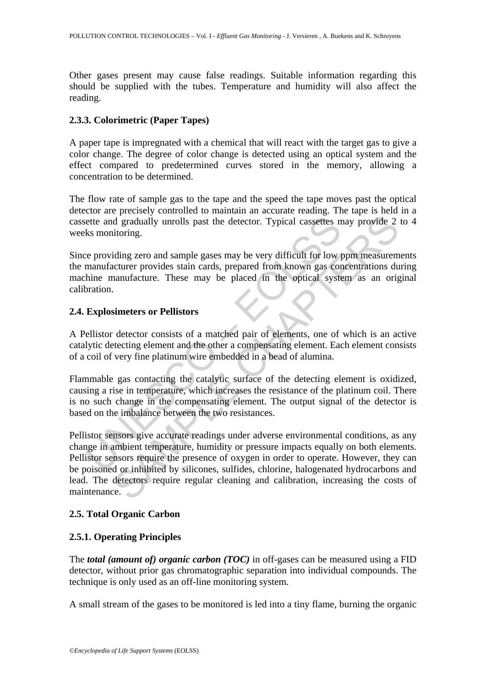Other gases present may cause false readings. Suitable information regarding this should be supplied with the tubes. Temperature and humidity will also affect the reading.

#### **2.3.3. Colorimetric (Paper Tapes)**

A paper tape is impregnated with a chemical that will react with the target gas to give a color change. The degree of color change is detected using an optical system and the effect compared to predetermined curves stored in the memory, allowing a concentration to be determined.

The flow rate of sample gas to the tape and the speed the tape moves past the optical detector are precisely controlled to maintain an accurate reading. The tape is held in a cassette and gradually unrolls past the detector. Typical cassettes may provide 2 to 4 weeks monitoring.

Since providing zero and sample gases may be very difficult for low ppm measurements the manufacturer provides stain cards, prepared from known gas concentrations during machine manufacture. These may be placed in the optical system as an original calibration.

## **2.4. Explosimeters or Pellistors**

A Pellistor detector consists of a matched pair of elements, one of which is an active catalytic detecting element and the other a compensating element. Each element consists of a coil of very fine platinum wire embedded in a bead of alumina.

ette and gradually unrolls past the detector. Typical cassettes n<br>
ks monitoring.<br>
ee providing zero and sample gases may be very difficult for low n<br>
manufacturer provides stain cards, prepared from known gas continual<br>
t Flammable gas contacting the catalytic surface of the detecting element is oxidized, causing a rise in temperature, which increases the resistance of the platinum coil. There is no such change in the compensating element. The output signal of the detector is based on the imbalance between the two resistances.

d gradually unrolls past the detector. Typical cassettes may provide 2<br>d gradually unrolls past the detector. Typical cassettes may provide 2<br>iding zero and sample gases may be very difficult for low ppm measurem<br>tcturer p Pellistor sensors give accurate readings under adverse environmental conditions, as any change in ambient temperature, humidity or pressure impacts equally on both elements. Pellistor sensors require the presence of oxygen in order to operate. However, they can be poisoned or inhibited by silicones, sulfides, chlorine, halogenated hydrocarbons and lead. The detectors require regular cleaning and calibration, increasing the costs of maintenance.

## **2.5. Total Organic Carbon**

## **2.5.1. Operating Principles**

The *total (amount of) organic carbon (TOC)* in off-gases can be measured using a FID detector, without prior gas chromatographic separation into individual compounds. The technique is only used as an off-line monitoring system.

A small stream of the gases to be monitored is led into a tiny flame, burning the organic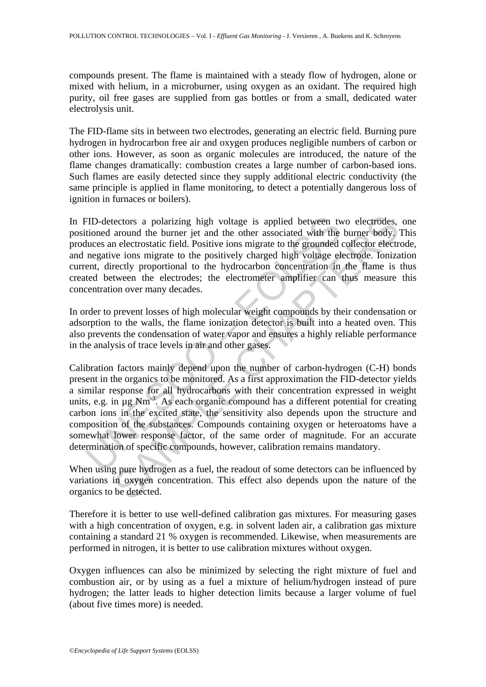compounds present. The flame is maintained with a steady flow of hydrogen, alone or mixed with helium, in a microburner, using oxygen as an oxidant. The required high purity, oil free gases are supplied from gas bottles or from a small, dedicated water electrolysis unit.

The FID-flame sits in between two electrodes, generating an electric field. Burning pure hydrogen in hydrocarbon free air and oxygen produces negligible numbers of carbon or other ions. However, as soon as organic molecules are introduced, the nature of the flame changes dramatically: combustion creates a large number of carbon-based ions. Such flames are easily detected since they supply additional electric conductivity (the same principle is applied in flame monitoring, to detect a potentially dangerous loss of ignition in furnaces or boilers).

In FID-detectors a polarizing high voltage is applied between two electrodes, one positioned around the burner jet and the other associated with the burner body. This produces an electrostatic field. Positive ions migrate to the grounded collector electrode, and negative ions migrate to the positively charged high voltage electrode. Ionization current, directly proportional to the hydrocarbon concentration in the flame is thus created between the electrodes; the electrometer amplifier can thus measure this concentration over many decades.

In order to prevent losses of high molecular weight compounds by their condensation or adsorption to the walls, the flame ionization detector is built into a heated oven. This also prevents the condensation of water vapor and ensures a highly reliable performance in the analysis of trace levels in air and other gases.

FID-detectors a polarizing high voltage is applied between two<br>ioned around the burner jet and the other associated with the<br>luces an electrostatic field. Positive ions migrate to the grounded<br>negative ions migrate to the tectors a polarizing high voltage is applied between two electrodes,<br>around the burner jet and the other associated with the burner body,<br>n electrotstatic field. Positive ions migrate to the grounded collector electro-<br>nec Calibration factors mainly depend upon the number of carbon-hydrogen (C-H) bonds present in the organics to be monitored. As a first approximation the FID-detector yields a similar response for all hydrocarbons with their concentration expressed in weight units, e.g. in µg Nm<sup>-3</sup>. As each organic compound has a different potential for creating carbon ions in the excited state, the sensitivity also depends upon the structure and composition of the substances. Compounds containing oxygen or heteroatoms have a somewhat lower response factor, of the same order of magnitude. For an accurate determination of specific compounds, however, calibration remains mandatory.

When using pure hydrogen as a fuel, the readout of some detectors can be influenced by variations in oxygen concentration. This effect also depends upon the nature of the organics to be detected.

Therefore it is better to use well-defined calibration gas mixtures. For measuring gases with a high concentration of oxygen, e.g. in solvent laden air, a calibration gas mixture containing a standard 21 % oxygen is recommended. Likewise, when measurements are performed in nitrogen, it is better to use calibration mixtures without oxygen.

Oxygen influences can also be minimized by selecting the right mixture of fuel and combustion air, or by using as a fuel a mixture of helium/hydrogen instead of pure hydrogen; the latter leads to higher detection limits because a larger volume of fuel (about five times more) is needed.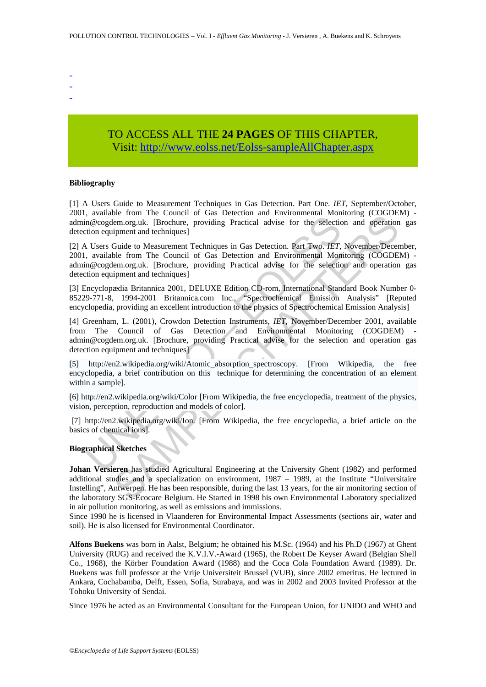- -
- -
- -

## TO ACCESS ALL THE **24 PAGES** OF THIS CHAPTER, Vis[it: http://www.eolss.net/Eolss-sampleAllChapter.aspx](https://www.eolss.net/ebooklib/sc_cart.aspx?File=E4-14-01-03)

#### **Bibliography**

[1] A Users Guide to Measurement Techniques in Gas Detection. Part One. *IET*, September/October, 2001, available from The Council of Gas Detection and Environmental Monitoring (COGDEM) admin@cogdem.org.uk. [Brochure, providing Practical advise for the selection and operation gas detection equipment and techniques]

[2] A Users Guide to Measurement Techniques in Gas Detection. Part Two. *IET*, November/December, 2001, available from The Council of Gas Detection and Environmental Monitoring (COGDEM) admin@cogdem.org.uk. [Brochure, providing Practical advise for the selection and operation gas detection equipment and techniques]

[3] Encyclopædia Britannica 2001, DELUXE Edition CD-rom, International Standard Book Number 0- 85229-771-8, 1994-2001 Britannica.com Inc., "Spectrochemical Emission Analysis" [Reputed encyclopedia, providing an excellent introduction to the physics of Spectrochemical Emission Analysis]

variano tion in the Council of Gas Detection and Environmental Rotation<br>
n@cogdem.org.uk. [Brochure, providing Practical advise for the selectition equipment and techniques]<br>
Users Guide to Measurement Techniques in Gas De be non- nie Countri of oas Detection and miximumental Monitoring (COODE<br>
enomog.uk. [Brochure, providing Practical advise for the selection and operation<br>
inpment and techniques]<br>
Equide to Measurement Techniques in Gas De [4] Greenham, L. (2001), Crowdon Detection Instruments, *IET*, November/December 2001, available from The Council of Gas Detection and Environmental Monitoring (COGDEM) admin@cogdem.org.uk. [Brochure, providing Practical advise for the selection and operation gas detection equipment and techniques]

[5] http://en2.wikipedia.org/wiki/Atomic\_absorption\_spectroscopy. [From Wikipedia, the free encyclopedia, a brief contribution on this technique for determining the concentration of an element within a sample].

[6] http://en2.wikipedia.org/wiki/Color [From Wikipedia, the free encyclopedia, treatment of the physics, vision, perception, reproduction and models of color].

 [7] http://en2.wikipedia.org/wiki/Ion. [From Wikipedia, the free encyclopedia, a brief article on the basics of chemical ions].

#### **Biographical Sketches**

**Johan Versieren** has studied Agricultural Engineering at the University Ghent (1982) and performed additional studies and a specialization on environment, 1987 – 1989, at the Institute "Universitaire Instelling", Antwerpen. He has been responsible, during the last 13 years, for the air monitoring section of the laboratory SGS-Ecocare Belgium. He Started in 1998 his own Environmental Laboratory specialized in air pollution monitoring, as well as emissions and immissions.

Since 1990 he is licensed in Vlaanderen for Environmental Impact Assessments (sections air, water and soil). He is also licensed for Environmental Coordinator.

**Alfons Buekens** was born in Aalst, Belgium; he obtained his M.Sc. (1964) and his Ph.D (1967) at Ghent University (RUG) and received the K.V.I.V.-Award (1965), the Robert De Keyser Award (Belgian Shell Co., 1968), the Körber Foundation Award (1988) and the Coca Cola Foundation Award (1989). Dr. Buekens was full professor at the Vrije Universiteit Brussel (VUB), since 2002 emeritus. He lectured in Ankara, Cochabamba, Delft, Essen, Sofia, Surabaya, and was in 2002 and 2003 Invited Professor at the Tohoku University of Sendai.

Since 1976 he acted as an Environmental Consultant for the European Union, for UNIDO and WHO and